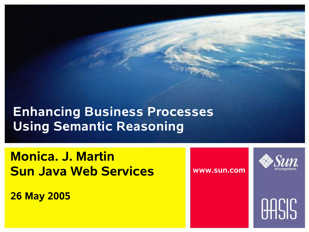### **Enhancing Business Processes Using Semantic Reasoning**

**Monica. J. Martin Sun Java Web Services**

**26 May 2005**

**www.sun.com**



# **OASIS**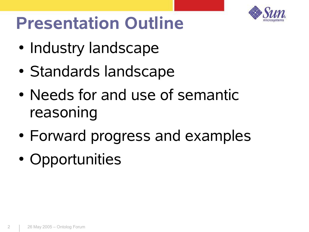

### **Presentation Outline**

- Industry landscape
- Standards landscape
- Needs for and use of semantic reasoning
- Forward progress and examples
- Opportunities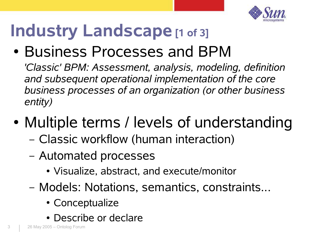

## **Industry Landscape [1 of 3]**

• Business Processes and BPM

*'Classic' BPM: Assessment, analysis, modeling, definition and subsequent operational implementation of the core business processes of an organization (or other business entity)*

- Multiple terms / levels of understanding
	- Classic workflow (human interaction)
	- Automated processes
		- Visualize, abstract, and execute/monitor
	- Models: Notations, semantics, constraints...
		- Conceptualize
		- Describe or declare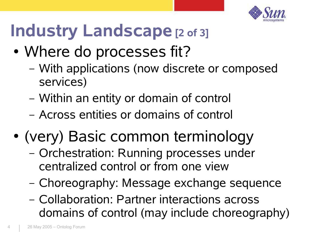

## **Industry Landscape [2 of 3]**

- Where do processes fit?
	- With applications (now discrete or composed services)
	- Within an entity or domain of control
	- Across entities or domains of control
- (very) Basic common terminology
	- Orchestration: Running processes under centralized control or from one view
	- Choreography: Message exchange sequence
	- Collaboration: Partner interactions across domains of control (may include choreography)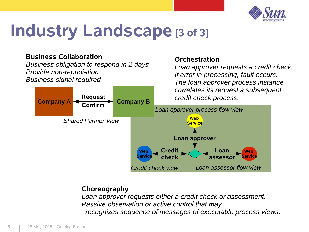

### **Industry Landscape [3 of 3]**

#### **Business Collaboration**

*Business obligation to respond in 2 days Provide non-repudiation Business signal required*

#### **Orchestration**

*Loan approver requests a credit check. If error in processing, fault occurs. The loan approver process instance correlates its request a subsequent*



#### **Choreography**

*Loan approver requests either a credit check or assessment. Passive observation or active control that may recognizes sequence of messages of executable process views.*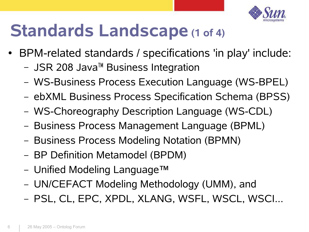

### **Standards Landscape (1 of 4)**

- BPM-related standards / specifications 'in play' include:
	- JSR 208 Java™ Business Integration
	- WS-Business Process Execution Language (WS-BPEL)
	- ebXML Business Process Specification Schema (BPSS)
	- WS-Choreography Description Language (WS-CDL)
	- Business Process Management Language (BPML)
	- Business Process Modeling Notation (BPMN)
	- BP Definition Metamodel (BPDM)
	- Unified Modeling Language™
	- UN/CEFACT Modeling Methodology (UMM), and
	- PSL, CL, EPC, XPDL, XLANG, WSFL, WSCL, WSCI...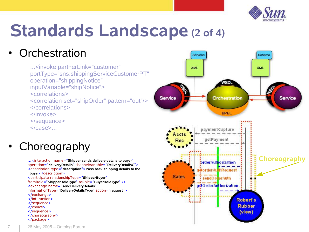

## **Standards Landscape (2 of 4)**

### **Orchestration**

...<invoke partnerLink="customer" portType="sns:shippingServiceCustomerPT" operation="shippingNotice" inputVariable="shipNotice"> <correlations> <correlation set="shipOrder" pattern="out"/> </correlations> </invoke> </sequence>

</case>...

### Choreography

operation="**deliveryDetails**" channelVariable="**DeliveryDetailsC**"> <description type="**description**">**Pass back shipping details to the buyer**</description> <participate relationshipType="**ShipperBuyer**" fromRole="**ShipperRoleType**" toRole="**BuyerRoleType**" /> <exchange name="**sendDeliveryDetails**" informationType="**DeliveryDetailsType**" action="**request**"> </exchange> </interaction> </sequence> </choice> </sequence> </choreography> </package>

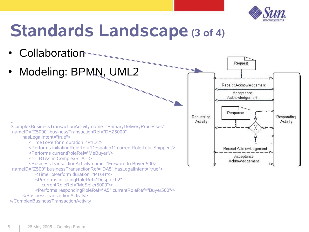

### **Standards Landscape (3 of 4)**



</ComplexBusinessTransactionActivity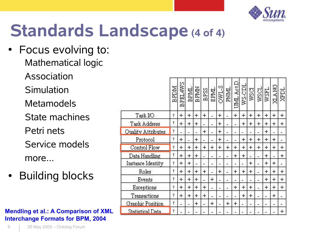

### **Standards Landscape (4 of 4)**

- Focus evolving to: Mathematical logic
	- Association
	- **Simulation**
	- Metamodels
	- State machines
	- Petri nets
	- Service models more...
- **Building blocks**

#### **Mendling et al.: A Comparison of XML Interchange Formats for BPM, 2004**

|                         | <b>MGRB</b>         | <b>BPEL4WS</b> |            | $\frac{\text{BPM}}{\text{BPM}}$ | $\overline{BPS}$ | EPML | <b>STAIO</b> |     | PNML<br>UML ActD. | WS-CDL | wscr |     | <b>TESM</b><br>TOSM | <b>NATK</b> | <b>ZEDL</b>         |
|-------------------------|---------------------|----------------|------------|---------------------------------|------------------|------|--------------|-----|-------------------|--------|------|-----|---------------------|-------------|---------------------|
| Task I/O                | Ŷ.                  | $+$            | $+$        | $+$                             | $+$              | Ľ.   | $+$          |     | $+$               | $+$    | $+$  | $+$ | $\ddot{}$           | $+$         | $+$                 |
| <b>Task Address</b>     | Ŷ                   | $+$            | $+$        | $\div$                          |                  |      | $+$          |     |                   | $+$    | $+$  | $+$ | $\ddot{}$           | ÷           | $+$                 |
| Ouality Attributes      | Ŷ                   | ×.             |            | w.                              | $+$              | ш'n, | $\ddot{}$    | ÷   | à.                |        | цý.  | ä,  | $\ddot{}$           |             | Уm.                 |
| Protocol                | $\hat{\mathcal{C}}$ | $+$            |            | $+$                             |                  | χý,  | $\ddot{}$    |     | a.                | $\pm$  | $+$  | $+$ | $\ddot{}$           | $\pm$       | ω,                  |
| Control Flow            | Ť                   | $+$            | $\ddot{+}$ | $\pm$                           | $\div$           | $+$  | $+$          | $+$ | $+$               | $+$    | $+$  | $+$ | $\ddot{}$           | $+$         | $+$                 |
| Data Handling           | Ŷ                   | $+$            | $\pm$      | $+$                             |                  | Ω.   | Ϋ́,          |     | $\div$            | $+$    |      | Z.  | $+$                 | U.          | $\ddot{\textbf{r}}$ |
| Instance Identity       | Ŷ,                  | $+$            | $+$        |                                 |                  | 28   |              |     | ă.                | z      | $+$  | Ž.  | $+$                 | $\pm$       | $\mathcal{L}$       |
| Roles                   | 2                   | $+$            | $+$        | $+$                             | $+$              | £,   | $\ddot{}$    |     | $+$               | $+$    | $+$  | a)  | $\ddot{}$           | $+$         | $+$                 |
| Events                  | Ŷ                   | $+$            | $+$        | $+$                             | L.               | $+$  |              | ÷   |                   |        | ٠    | ä,  | $+$                 | $\pm$       | $+$                 |
| Exceptions              | $\gamma$            | $+$            | $+$        | $+$                             | $+$              |      |              |     | $+$               | $+$    | $+$  |     | $+$                 | $+$         | $+$                 |
| Transactions            | Ŷ                   | $+$            | $+$        | $+$                             | ÷                | 29   | œ.           |     |                   | $+$    | $+$  | ΩĆ, | 29                  | $+$         | χ,                  |
| <b>Graphic Position</b> | $\gamma$            | Ľ.             |            | $+$                             | ä.               | $+$  |              | $+$ | $+$               |        | a.   |     |                     |             |                     |
| <b>Statistical Data</b> | Ŷ,                  | ω.             |            |                                 |                  |      |              |     |                   |        |      |     |                     |             | $+$                 |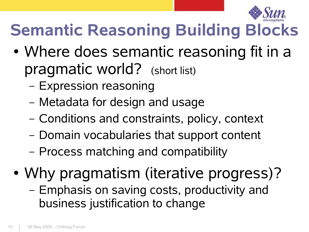

### **Semantic Reasoning Building Blocks**

- Where does semantic reasoning fit in a pragmatic world? (short list)
	- Expression reasoning
	- Metadata for design and usage
	- Conditions and constraints, policy, context
	- Domain vocabularies that support content
	- Process matching and compatibility
- Why pragmatism (iterative progress)? – Emphasis on saving costs, productivity and business justification to change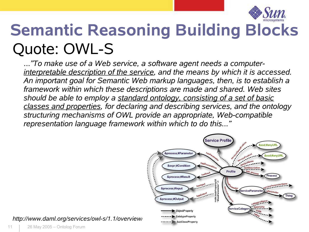

### **Semantic Reasoning Building Blocks** Quote: OWL-S

*..."To make use of a Web service, a software agent needs a computerinterpretable description of the service, and the means by which it is accessed. An important goal for Semantic Web markup languages, then, is to establish a framework within which these descriptions are made and shared. Web sites should be able to employ a standard ontology, consisting of a set of basic classes and properties, for declaring and describing services, and the ontology structuring mechanisms of OWL provide an appropriate, Web-compatible representation language framework within which to do this..."*



*http://www.daml.org/services/owl-s/1.1/overview/*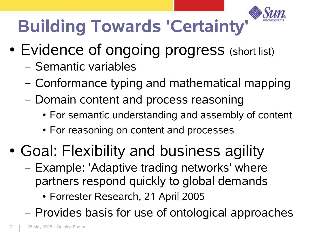

## **Building Towards 'Certainty'**

- Evidence of ongoing progress (short list)
	- Semantic variables
	- Conformance typing and mathematical mapping
	- Domain content and process reasoning
		- For semantic understanding and assembly of content
		- For reasoning on content and processes
- Goal: Flexibility and business agility
	- Example: 'Adaptive trading networks' where partners respond quickly to global demands
		- Forrester Research, 21 April 2005
	- Provides basis for use of ontological approaches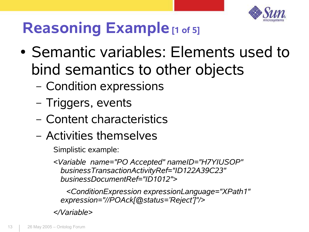

### **Reasoning Example [1 of 5]**

- Semantic variables: Elements used to bind semantics to other objects
	- Condition expressions
	- Triggers, events
	- Content characteristics
	- Activities themselves

Simplistic example:

*<Variable name="PO Accepted" nameID="H7YIUSOP" businessTransactionActivityRef="ID122A39C23" businessDocumentRef="ID1012">*

*<ConditionExpression expressionLanguage="XPath1" expression="//POAck[@status='Reject']"/>*

*</Variable>*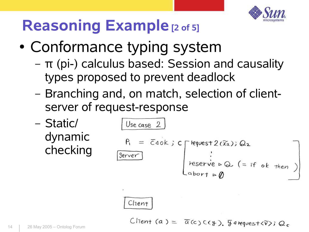

### **Reasoning Example [2 of 5]**

- Conformance typing system
	- π (pi-) calculus based: Session and causality types proposed to prevent deadlock
	- Branching and, on match, selection of clientserver of request-response
	- Static/ dynamic checking

Use case 2  
\n
$$
P_1 = \overline{c}40k
$$
; C  
\n $\overline{Server}$   
\n $\overline{Server}$   
\n $\overline{Server}$   
\n $\overline{Server}$   
\n $\overline{Server}$   
\n $\overline{Server}$   
\n $\overline{Server}$   
\n $\overline{Server}$   
\n $\overline{Server}$   
\n $\overline{Server}$   
\n $\overline{Server}$   
\n $\overline{Serror}$   
\n $\overline{Serror}$   
\n $\overline{Serror}$   
\n $\overline{Serror}$   
\n $\overline{Serror}$   
\n $\overline{Serror}$   
\n $\overline{Serror}$   
\n $\overline{Serror}$   
\n $\overline{Serror}$   
\n $\overline{Serror}$   
\n $\overline{Serror}$   
\n $\overline{Serror}$   
\n $\overline{Serror}$   
\n $\overline{Serror}$   
\n $\overline{Serror}$   
\n $\overline{Serror}$   
\n $\overline{Serror}$   
\n $\overline{Serror}$   
\n $\overline{Serror}$   
\n $\overline{Serror}$   
\n $\overline{Serror}$   
\n $\overline{Serror}$   
\n $\overline{Serror}$   
\n $\overline{Serror}$   
\n $\overline{Serror}$   
\n $\overline{Serror}$   
\n $\overline{Serror}$   
\n $\overline{Serror}$   
\n $\overline{Serror}$   
\n $\overline{Serror}$   
\n $\overline{Serror}$   
\n $\overline{Serror}$   
\n $\overline{Serror}$   
\n $\overline{Serror}$   
\n $\overline{Serror}$   
\n $\overline{Serror}$   
\n $\overline{Serror}$   
\n $\overline{Serror}$   
\n $\overline{Serror}$   
\n $\overline{Serror}$   
\n $\overline{Serror}$   
\n $\overline{Serror$ 

Client

Client (a) =  $\overline{a}$ (c) C(y).  $\overline{y}$  a request  $\langle \tilde{v} \rangle$ ; Qc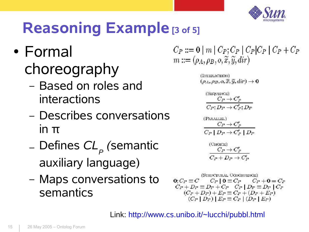

### **Reasoning Example [3 of 5]**

- Formal choreography
	- Based on roles and interactions
	- Describes conversations in π
	- Defines  $C\!L_{_{P}}$  *(*semantic auxiliary language)
	- Maps conversations to semantics

 $C_P ::= \mathbf{0} | m | C_P; C_P | C_P | C_P | C_P + C_P$  $m ::= (\rho_A, \rho_B, o, \tilde{x}, \tilde{y}, dir)$ 

> (INTERACTION)  $(\rho_A, \rho_B, \sigma, \bar{x}, \bar{y}, d\bar{x}) \rightarrow 0$

$$
\begin{aligned} &\stackrel{\text{(SBOWMOE)}}{C_P \to C_P} \\ &\stackrel{\textstyle C_P \to C_P}{C_P; D_P \to C_P; D_P} \end{aligned}
$$

$$
\begin{array}{c}\n\text{(PARALI31.)} \\
\hline\nC_P \rightarrow C_P' \\
\hline\nC_P \mid D_P \rightarrow C_P' \mid D_P\n\end{array}
$$

$$
\begin{array}{c} \text{(Cuccat)}\\ C_P \to C_P' \\ \hline C_P + D_P \to C_P' \end{array}
$$

**ISTRUCTURAL CONGRUENCE**  $C_P \mid 0 \equiv C_P$  $0: C_P \equiv C$  $C_P + 0 = C_P$  $C_P + D_P \equiv D_P + C_P \quad C_P \mid D_P \equiv D_P \mid C_P$  $(C_P + D_P) + E_P \equiv C_P + (D_P + E_P)$  $(C_P | D_P) | E_P \equiv C_P | (D_P | E_P)$ 

Link: http://www.cs.unibo.it/~lucchi/pubbl.html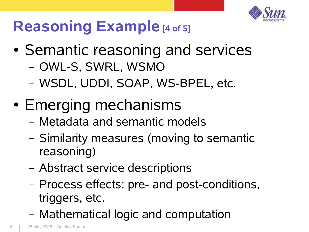

### **Reasoning Example [4 of 5]**

- Semantic reasoning and services – OWL-S, SWRL, WSMO
	- WSDL, UDDI, SOAP, WS-BPEL, etc.
- Emerging mechanisms
	- Metadata and semantic models
	- Similarity measures (moving to semantic reasoning)
	- Abstract service descriptions
	- Process effects: pre- and post-conditions, triggers, etc.
	- Mathematical logic and computation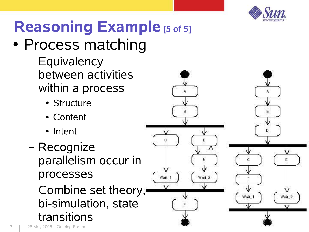

### **Reasoning Example [5 of 5]**

- Process matching
	- Equivalency between activities within a process
		- Structure
		- Content
		- Intent
	- Recognize parallelism occur in processes
	- Combine set theory, bi-simulation, state transitions



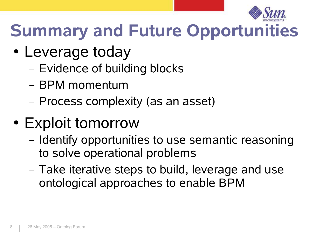

## **Summary and Future Opportunities**

- Leverage today
	- Evidence of building blocks
	- BPM momentum
	- Process complexity (as an asset)
- Exploit tomorrow
	- Identify opportunities to use semantic reasoning to solve operational problems
	- Take iterative steps to build, leverage and use ontological approaches to enable BPM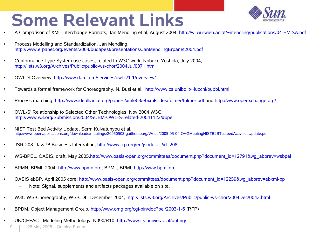### **Some Relevant Links**



- A Comparison of XML Interchange Formats, Jan Mendling et al, August 2004, http://wi.wu-wien.ac.at/~mendling/publications/04-EMISA.pdf
- Process Modelling and Standardization, Jan Mendling, http://www.erpanet.org/events/2004/budapest/presentations/JanMendlingErpanet2004.pdf
- Conformance Type System use cases, related to W3C work, Nobuko Yoshida, July 2004, http://lists.w3.org/Archives/Public/public-ws-chor/2004Jul/0071.html
- OWL-S Overview, http://www.daml.org/services/owl-s/1.1/overview/
- Towards a formal framework for Choreography, N. Busi et al, http://www.cs.unibo.it/~lucchi/pubbl.html
- Process matching, http://www.idealliance.org/papers/xmle03/ebxmlslides/folmer/folmer.pdf and http://www.openxchange.org/
- OWL-S' Relationship to Selected Other Technologies, Nov 2004 W3C, http://www.w3.org/Submission/2004/SUBM-OWL-S-related-20041122/#bpel
- NIST Test Bed Activity Update, Serm Kulvatunyou et al, http://www.openapplications.org/downloads/meetings/20050503-gaithersburg/Weds/2005-05-04-OAGMeetingNISTB2BTestbedActivitiesUpdate.pdf
- JSR-208: Java™ Business Integration, http://www.jcp.org/en/jsr/detail?id=208
- WS-BPEL, OASIS, draft, May 2005,http://www.oasis-open.org/committees/document.php?document\_id=12791&wg\_abbrev=wsbpel
- BPMN, BPMI, 2004: http://www.bpmn.org; BPML, BPMI, http://www.bpmi.org
- OASIS ebBP, April 2005 core: http://www.oasis-open.org/committees/document.php?document\_id=12259&wg\_abbrev=ebxml-bp – Note: Signal, supplements and artifacts packages available on site.
- W3C WS-Choreography, WS-CDL, December 2004, http://lists.w3.org/Archives/Public/public-ws-chor/2004Dec/0042.html
- BPDM, Object Management Group, http://www.omg.org/cgi-bin/doc?bei/2003-1-6 (RFP)
- UN/CEFACT Modeling Methodology, N090/R10, http://www.ifs.univie.ac.at/untmq/
	- 19 26 May 2005 Ontolog Forum